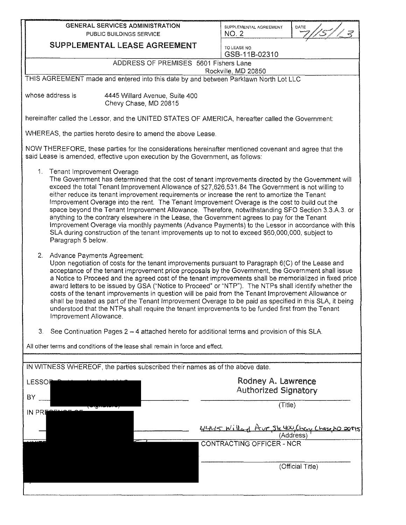| <b>GENERAL SERVICES ADMINISTRATION</b>                                                                                                                                                                                                                                                                                                                                                                                                                                                                                                                                                                                                                                                                                                                                                                            |                                                                                                                                                                                                                                                                                                                                                                                                                                                                                                                                                                                                                                                                                                                                                                                                                                                          | SUPPLEMENTAL AGREEMENT<br><b>NO. 2</b>            | DATE     |  |  |  |  |  |
|-------------------------------------------------------------------------------------------------------------------------------------------------------------------------------------------------------------------------------------------------------------------------------------------------------------------------------------------------------------------------------------------------------------------------------------------------------------------------------------------------------------------------------------------------------------------------------------------------------------------------------------------------------------------------------------------------------------------------------------------------------------------------------------------------------------------|----------------------------------------------------------------------------------------------------------------------------------------------------------------------------------------------------------------------------------------------------------------------------------------------------------------------------------------------------------------------------------------------------------------------------------------------------------------------------------------------------------------------------------------------------------------------------------------------------------------------------------------------------------------------------------------------------------------------------------------------------------------------------------------------------------------------------------------------------------|---------------------------------------------------|----------|--|--|--|--|--|
| PUBLIC BUILDINGS SERVICE<br><b>SUPPLEMENTAL LEASE AGREEMENT</b>                                                                                                                                                                                                                                                                                                                                                                                                                                                                                                                                                                                                                                                                                                                                                   |                                                                                                                                                                                                                                                                                                                                                                                                                                                                                                                                                                                                                                                                                                                                                                                                                                                          |                                                   |          |  |  |  |  |  |
|                                                                                                                                                                                                                                                                                                                                                                                                                                                                                                                                                                                                                                                                                                                                                                                                                   |                                                                                                                                                                                                                                                                                                                                                                                                                                                                                                                                                                                                                                                                                                                                                                                                                                                          | TO LEASE NO.<br>GSB-11B-02310                     |          |  |  |  |  |  |
| ADDRESS OF PREMISES 5601 Fishers Lane                                                                                                                                                                                                                                                                                                                                                                                                                                                                                                                                                                                                                                                                                                                                                                             |                                                                                                                                                                                                                                                                                                                                                                                                                                                                                                                                                                                                                                                                                                                                                                                                                                                          |                                                   |          |  |  |  |  |  |
| Rockville, MD 20850<br>THIS AGREEMENT made and entered into this date by and between Parklawn North Lot LLC                                                                                                                                                                                                                                                                                                                                                                                                                                                                                                                                                                                                                                                                                                       |                                                                                                                                                                                                                                                                                                                                                                                                                                                                                                                                                                                                                                                                                                                                                                                                                                                          |                                                   |          |  |  |  |  |  |
| whose address is                                                                                                                                                                                                                                                                                                                                                                                                                                                                                                                                                                                                                                                                                                                                                                                                  | 4445 Willard Avenue, Suite 400<br>Chevy Chase, MD 20815                                                                                                                                                                                                                                                                                                                                                                                                                                                                                                                                                                                                                                                                                                                                                                                                  |                                                   |          |  |  |  |  |  |
| hereinafter called the Lessor, and the UNITED STATES OF AMERICA, hereafter called the Government:                                                                                                                                                                                                                                                                                                                                                                                                                                                                                                                                                                                                                                                                                                                 |                                                                                                                                                                                                                                                                                                                                                                                                                                                                                                                                                                                                                                                                                                                                                                                                                                                          |                                                   |          |  |  |  |  |  |
| WHEREAS, the parties hereto desire to amend the above Lease.                                                                                                                                                                                                                                                                                                                                                                                                                                                                                                                                                                                                                                                                                                                                                      |                                                                                                                                                                                                                                                                                                                                                                                                                                                                                                                                                                                                                                                                                                                                                                                                                                                          |                                                   |          |  |  |  |  |  |
| NOW THEREFORE, these parties for the considerations hereinafter mentioned covenant and agree that the<br>said Lease is amended, effective upon execution by the Government, as follows:                                                                                                                                                                                                                                                                                                                                                                                                                                                                                                                                                                                                                           |                                                                                                                                                                                                                                                                                                                                                                                                                                                                                                                                                                                                                                                                                                                                                                                                                                                          |                                                   |          |  |  |  |  |  |
| Paragraph 5 below.                                                                                                                                                                                                                                                                                                                                                                                                                                                                                                                                                                                                                                                                                                                                                                                                | 1. Tenant Improvement Overage<br>The Government has determined that the cost of tenant improvements directed by the Government will<br>exceed the total Tenant Improvement Allowance of \$27,626,531.84 The Government is not willing to<br>either reduce its tenant improvement requirements or increase the rent to amortize the Tenant<br>Improvement Overage into the rent. The Tenant Improvement Overage is the cost to build out the<br>space beyond the Tenant Improvement Allowance. Therefore, notwithstanding SFO Section 3.3.A.3. or<br>anything to the contrary elsewhere in the Lease, the Government agrees to pay for the Tenant<br>Improvement Overage via monthly payments (Advance Payments) to the Lessor in accordance with this<br>SLA during construction of the tenant improvements up to not to exceed \$60,000,000, subject to |                                                   |          |  |  |  |  |  |
| 2.<br>Advance Payments Agreement:<br>Upon negotiation of costs for the tenant improvements pursuant to Paragraph 6(C) of the Lease and<br>acceptance of the tenant improvement price proposals by the Government, the Government shall issue<br>a Notice to Proceed and the agreed cost of the tenant improvements shall be memorialized in fixed price<br>award letters to be issued by GSA ("Notice to Proceed" or "NTP"). The NTPs shall identify whether the<br>costs of the tenant improvements in question will be paid from the Tenant Improvement Allowance or<br>shall be treated as part of the Tenant Improvement Overage to be paid as specified in this SLA, it being<br>understood that the NTPs shall require the tenant improvements to be funded first from the Tenant<br>Improvement Allowance. |                                                                                                                                                                                                                                                                                                                                                                                                                                                                                                                                                                                                                                                                                                                                                                                                                                                          |                                                   |          |  |  |  |  |  |
| 3.                                                                                                                                                                                                                                                                                                                                                                                                                                                                                                                                                                                                                                                                                                                                                                                                                | See Continuation Pages 2 - 4 attached hereto for additional terms and provision of this SLA.                                                                                                                                                                                                                                                                                                                                                                                                                                                                                                                                                                                                                                                                                                                                                             |                                                   |          |  |  |  |  |  |
| All other terms and conditions of the lease shall remain in force and effect.                                                                                                                                                                                                                                                                                                                                                                                                                                                                                                                                                                                                                                                                                                                                     |                                                                                                                                                                                                                                                                                                                                                                                                                                                                                                                                                                                                                                                                                                                                                                                                                                                          |                                                   |          |  |  |  |  |  |
|                                                                                                                                                                                                                                                                                                                                                                                                                                                                                                                                                                                                                                                                                                                                                                                                                   |                                                                                                                                                                                                                                                                                                                                                                                                                                                                                                                                                                                                                                                                                                                                                                                                                                                          |                                                   |          |  |  |  |  |  |
| IN WITNESS WHEREOF, the parties subscribed their names as of the above date.                                                                                                                                                                                                                                                                                                                                                                                                                                                                                                                                                                                                                                                                                                                                      |                                                                                                                                                                                                                                                                                                                                                                                                                                                                                                                                                                                                                                                                                                                                                                                                                                                          |                                                   |          |  |  |  |  |  |
| <b>LESSOR</b>                                                                                                                                                                                                                                                                                                                                                                                                                                                                                                                                                                                                                                                                                                                                                                                                     |                                                                                                                                                                                                                                                                                                                                                                                                                                                                                                                                                                                                                                                                                                                                                                                                                                                          | Rodney A. Lawrence<br><b>Authorized Signatory</b> |          |  |  |  |  |  |
| BY.                                                                                                                                                                                                                                                                                                                                                                                                                                                                                                                                                                                                                                                                                                                                                                                                               |                                                                                                                                                                                                                                                                                                                                                                                                                                                                                                                                                                                                                                                                                                                                                                                                                                                          | (Title)                                           |          |  |  |  |  |  |
| IN PRI                                                                                                                                                                                                                                                                                                                                                                                                                                                                                                                                                                                                                                                                                                                                                                                                            |                                                                                                                                                                                                                                                                                                                                                                                                                                                                                                                                                                                                                                                                                                                                                                                                                                                          |                                                   |          |  |  |  |  |  |
|                                                                                                                                                                                                                                                                                                                                                                                                                                                                                                                                                                                                                                                                                                                                                                                                                   |                                                                                                                                                                                                                                                                                                                                                                                                                                                                                                                                                                                                                                                                                                                                                                                                                                                          | 4445 Willard Ave Ste 400 Chevy Chase NO 20015     | 'Address |  |  |  |  |  |
|                                                                                                                                                                                                                                                                                                                                                                                                                                                                                                                                                                                                                                                                                                                                                                                                                   |                                                                                                                                                                                                                                                                                                                                                                                                                                                                                                                                                                                                                                                                                                                                                                                                                                                          | <b>CONTRACTING OFFICER - NCR</b>                  |          |  |  |  |  |  |

(Official Title)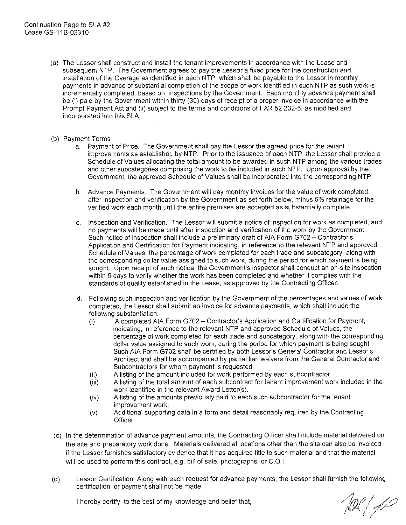- (a) The Lessor shall construct and install the tenant improvements in accordance with the Lease and subsequent NTP. The Government agrees to pay the Lessor a fixed price for the construction and installation of the Overage as identified in each NTP, which shall be payable to the Lessor in monthly payments in advance of substantial completion of the scope of work identified in such NTP as such work is incrementally completed, based on inspections by the Government. Each monthly advance payment shall be (i) paid by the Government within thirty (30) days of receipt of a proper invoice in accordance with the Prompt Payment Act and (ii) subject to the terms and conditions of FAR 52.232-5, as modified and incorporated into this SLA
- (b} Payment Terms
	- a. Payment of Price. The Government shall pay the Lessor the agreed price for the tenant improvements as established by NTP. Prior to the issuance of each NTP, the Lessor shall provide a Schedule of Values allocating the total amount to be awarded in such NTP among the various trades and other subcategories comprising the work to be included in such NTP. Upon approval by the Government, the approved Schedule of Values shall be incorporated into the corresponding NTP.
	- b. Advance Payments. The Government will pay monthly invoices for the value of work completed, after inspection and verification by the Government as set forth below, minus 5% retainage for the verified work each month until the entire premises are accepted as substantially complete.
	- c. Inspection and Verification. The Lessor will submit a notice of inspection for work as completed, and no payments will be made until after inspection and verification of the work by the Government. Such notice of inspection shall include a preliminary draft of AIA Form G702 - Contractor's Application and Certification for Payment indicating, in reference to the relevant NTP and approved Schedule of Values, the percentage of work completed for each trade and subcategory, along with the corresponding dollar value assigned to such work, during the period for which payment is being sought. Upon receipt of such notice, the Government's inspector shall conduct an on-site inspection within 5 days to verify whether the work has been completed and whether it complies with the standards of quality established in the Lease, as approved by the Contracting Officer.
	- d. Following such inspection and verification by the Government of the percentages and values of work completed, the Lessor shall submit an invoice for advance payments, which shall include the following substantiation:
		- (i) A completed AIA Form G702 Contractor's Application and Certification for Payment, indicating, in reference to the relevant NTP and approved Schedule of Values, the percentage of work completed for each trade and subcategory, along with the corresponding dollar value assigned to such work, during the period for which payment is being sought. Such AIA Form G702 shall be certified by both Lessor's General Contractor and Lessor's Architect and shall be accompanied by partial lien waivers from the General Contractor and Subcontractors for whom payment is requested.
		- (ii) A listing of the amount included for work performed by each subcontractor.
		- (iii) A listing of the total amount of each subcontract for tenant improvement work included in the work identified in the relevant Award Letter(s).
		- $(iv)$  A listing of the amounts previously paid to each such subcontractor for the tenant improvement work.
		- (v) Additional supporting data in a form and detail reasonably required by the Contracting Officer.
- (c) In the determination of advance payment amounts, the Contracting Officer shall include material delivered on the site and preparatory work done. Materials delivered at locations other than the site can also be invoiced if the Lessor furnishes satisfactory evidence that it has acquired title to such material and that the material will be used to perform this contract, e.g. bill of sale, photographs, or C.0.1.
- (d) Lessor Certification: Along with each request for advance payments, the Lessor shall furnish the following certification, or payment shall not be made.

I hereby certify, to the best of my knowledge and belief that,

100/10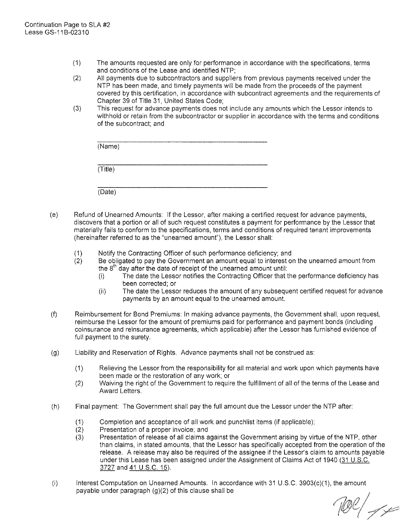(Date)

- (1) The amounts requested are only for performance in accordance with the specifications, terms and conditions of the Lease and identified NTP;
- (2) All payments due to subcontractors and suppliers from previous payments received under the NTP has been made, and timely payments will be made from the proceeds of the payment covered by this certification, in accordance with subcontract agreements and the requirements of Chapter 39 of Title 31, United States Code;
- (3) This request for advance payments does not include any amounts which the Lessor intends to withhold or retain from the subcontractor or supplier in accordance with the terms and conditions of the subcontract; and

| (Name)  |  |  |  |
|---------|--|--|--|
| (Title) |  |  |  |
|         |  |  |  |

- (e) Refund of Unearned Amounts: If the Lessor, after making a certified request for advance payments, discovers that a portion or all of such request constitutes a payment for performance by the Lessor that materially fails to conform to the specifications, terms and conditions of required tenant improvements (hereinafter referred to as the "unearned amount"), the Lessor shall:
	- (1) Notify the Contracting Officer of such performance deficiency; and
	- (2) Be obligated to pay the Government an amount equal to interest on the unearned amount from the  $8<sup>th</sup>$  day after the date of receipt of the unearned amount until:
		- (i) The date the Lessor notifies the Contracting Officer that the performance deficiency has been corrected; or
		- (ii) The date the Lessor reduces the amount of any subsequent certified request for advance payments by an amount equal to the unearned amount.
- (f) Reimbursement for Bond Premiums: In making advance payments, the Government shall, upon request, reimburse the Lessor for the amount of premiums paid for performance and payment bonds (including coinsurance and reinsurance agreements, which applicable) after the Lessor has furnished evidence of full payment to the surety.
- (g) Liability and Reservation of Rights. Advance payments shall not be construed as:
	- (1) Relieving the Lessor from the responsibility for all material and work upon which payments have been made or the restoration of any work; or
	- (2) Waiving the right of the Government to require the fulfillment of all of the terms of the Lease and Award Letters.
- (h) Final payment: The Government shall pay the full amount due the Lessor under the NTP after:
	- $(1)$  Completion and acceptance of all work and punchlist items (if applicable);
	- (2) Presentation of a proper invoice; and
	- (3) Presentation of release of all claims against the Government arising by virtue of the NTP, other than claims, in stated amounts, that the Lessor has specifically accepted from the operation of the release. A release may also be required of the assignee if the Lessor's claim to amounts payable under this Lease has been assigned under the Assignment of Claims Act of 1940 (31 U.S.C. 3727 and 41 U.S.C. 15).
- (i) Interest Computation on Unearned Amounts. In accordance with 31 U.S.C. 3903(c)(1), the amount payable under paragraph (g)(2) of this clause shall be

Tell ye